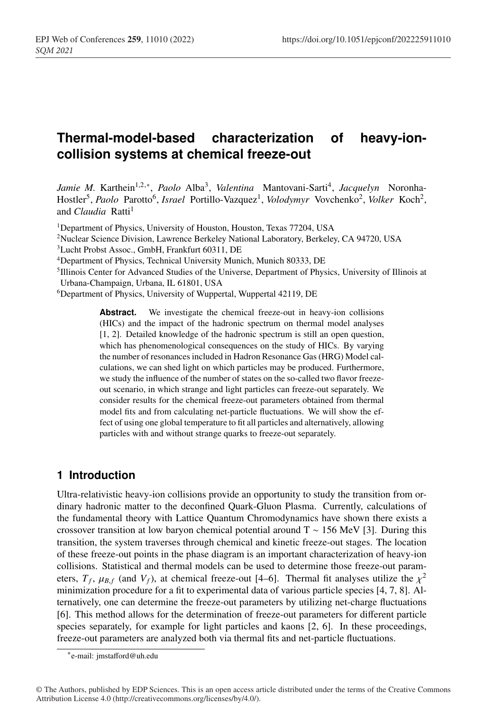# **Thermal-model-based characterization of heavy-ioncollision systems at chemical freeze-out**

*Jamie M.* Karthein<sup>1,2,∗</sup>, *Paolo* Alba<sup>3</sup>, *Valentina* Mantovani-Sarti<sup>4</sup>, *Jacquelyn* Noronha-Hostler<sup>5</sup>, *Paolo* Parotto<sup>6</sup>, *Israel* Portillo-Vazquez<sup>1</sup>, *Volodymyr* Vovchenko<sup>2</sup>, *Volker* Koch<sup>2</sup>, and *Claudia* Ratti<sup>1</sup>

<sup>1</sup>Department of Physics, University of Houston, Houston, Texas 77204, USA

- 2Nuclear Science Division, Lawrence Berkeley National Laboratory, Berkeley, CA 94720, USA
- 3Lucht Probst Assoc., GmbH, Frankfurt 60311, DE
- 4Department of Physics, Technical University Munich, Munich 80333, DE
- 5Illinois Center for Advanced Studies of the Universe, Department of Physics, University of Illinois at Urbana-Champaign, Urbana, IL 61801, USA

6Department of Physics, University of Wuppertal, Wuppertal 42119, DE

Abstract. We investigate the chemical freeze-out in heavy-ion collisions (HICs) and the impact of the hadronic spectrum on thermal model analyses [1, 2]. Detailed knowledge of the hadronic spectrum is still an open question, which has phenomenological consequences on the study of HICs. By varying the number of resonances included in Hadron Resonance Gas (HRG) Model calculations, we can shed light on which particles may be produced. Furthermore, we study the influence of the number of states on the so-called two flavor freezeout scenario, in which strange and light particles can freeze-out separately. We consider results for the chemical freeze-out parameters obtained from thermal model fits and from calculating net-particle fluctuations. We will show the effect of using one global temperature to fit all particles and alternatively, allowing particles with and without strange quarks to freeze-out separately.

### **1 Introduction**

Ultra-relativistic heavy-ion collisions provide an opportunity to study the transition from ordinary hadronic matter to the deconfined Quark-Gluon Plasma. Currently, calculations of the fundamental theory with Lattice Quantum Chromodynamics have shown there exists a crossover transition at low baryon chemical potential around T ∼ 156 MeV [3]. During this transition, the system traverses through chemical and kinetic freeze-out stages. The location of these freeze-out points in the phase diagram is an important characterization of heavy-ion collisions. Statistical and thermal models can be used to determine those freeze-out parameters,  $T_f$ ,  $\mu_{B,f}$  (and  $V_f$ ), at chemical freeze-out [4–6]. Thermal fit analyses utilize the  $\chi^2$ minimization procedure for a fit to experimental data of various particle species [4, 7, 8]. Alternatively, one can determine the freeze-out parameters by utilizing net-charge fluctuations [6]. This method allows for the determination of freeze-out parameters for different particle species separately, for example for light particles and kaons [2, 6]. In these proceedings, freeze-out parameters are analyzed both via thermal fits and net-particle fluctuations.

<sup>∗</sup>e-mail: jmstafford@uh.edu

<sup>©</sup> The Authors, published by EDP Sciences. This is an open access article distributed under the terms of the Creative Commons Attribution License 4.0 (http://creativecommons.org/licenses/by/4.0/).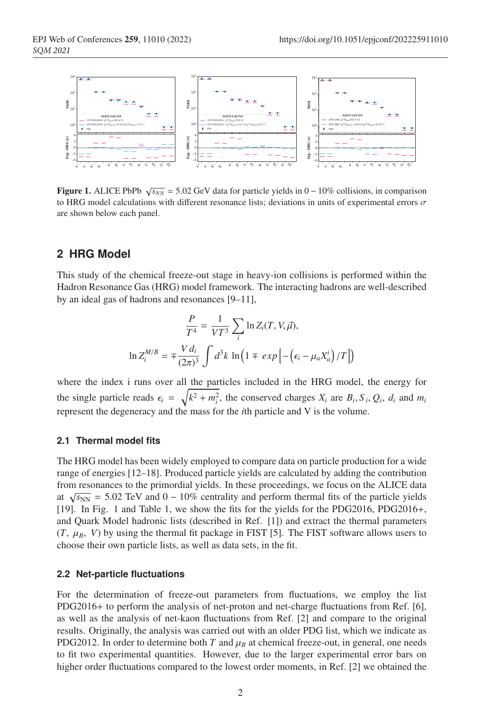

**Figure 1.** ALICE PbPb  $\sqrt{s_{NN}}$  = 5.02 GeV data for particle yields in 0 – 10% collisions, in comparison to HRG model calculations with different resonance lists; deviations in units of experimental errors  $\sigma$ are shown below each panel.

### **2 HRG Model**

This study of the chemical freeze-out stage in heavy-ion collisions is performed within the Hadron Resonance Gas (HRG) model framework. The interacting hadrons are well-described by an ideal gas of hadrons and resonances [9–11],

$$
\frac{P}{T^4} = \frac{1}{VT^3} \sum_i \ln Z_i(T, V, \vec{\mu}),
$$

$$
\ln Z_i^{M/B} = \pm \frac{V d_i}{(2\pi)^3} \int d^3k \ln \left( 1 \mp \exp \left[ -\left(\epsilon_i - \mu_a X_a^i\right) / T \right] \right)
$$

where the index i runs over all the particles included in the HRG model, the energy for the single particle reads  $\epsilon_i = \sqrt{k^2 + m_i^2}$ , the conserved charges  $X_i$  are  $B_i$ ,  $S_i$ ,  $Q_i$ ,  $d_i$  and  $m_i$ represent the degeneracy and the mass for the *i*th particle and V is the volume.

#### **2.1 Thermal model fits**

The HRG model has been widely employed to compare data on particle production for a wide range of energies [12–18]. Produced particle yields are calculated by adding the contribution from resonances to the primordial yields. In these proceedings, we focus on the ALICE data at  $\sqrt{s_{NN}}$  = 5.02 TeV and 0 – 10% centrality and perform thermal fits of the particle yields [19]. In Fig. 1 and Table 1, we show the fits for the yields for the PDG2016, PDG2016+, and Quark Model hadronic lists (described in Ref. [1]) and extract the thermal parameters  $(T, \mu_B, V)$  by using the thermal fit package in FIST [5]. The FIST software allows users to choose their own particle lists, as well as data sets, in the fit.

#### **2.2 Net-particle fluctuations**

For the determination of freeze-out parameters from fluctuations, we employ the list PDG2016+ to perform the analysis of net-proton and net-charge fluctuations from Ref. [6], as well as the analysis of net-kaon fluctuations from Ref. [2] and compare to the original results. Originally, the analysis was carried out with an older PDG list, which we indicate as PDG2012. In order to determine both *T* and  $\mu_B$  at chemical freeze-out, in general, one needs to fit two experimental quantities. However, due to the larger experimental error bars on higher order fluctuations compared to the lowest order moments, in Ref. [2] we obtained the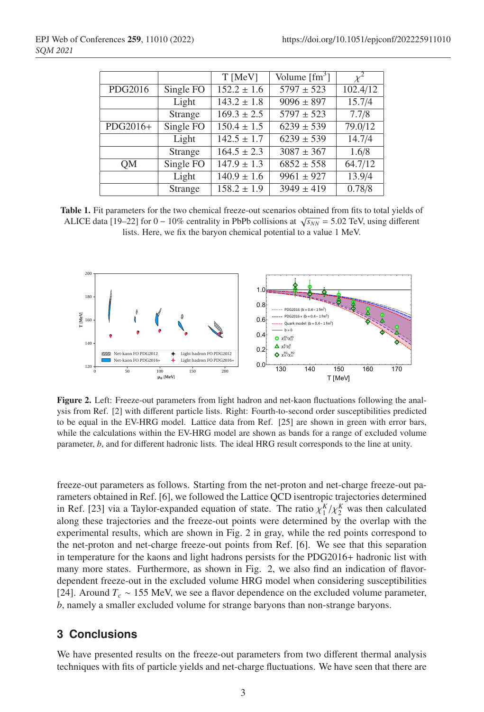|           |                               | T [MeV]         | Volume $\lceil \text{fm}^3 \rceil$ | $x^2$    |
|-----------|-------------------------------|-----------------|------------------------------------|----------|
| PDG2016   | Single FO                     | $152.2 \pm 1.6$ | $5797 \pm 523$                     | 102.4/12 |
|           | Light                         | $143.2 \pm 1.8$ | $9096 \pm 897$                     | 15.7/4   |
|           | Strange                       | $169.3 \pm 2.5$ | $5797 \pm 523$                     | 7.7/8    |
| PDG2016+  | $\overline{\text{Single FO}}$ | $150.4 \pm 1.5$ | $6239 \pm 539$                     | 79.0/12  |
|           | Light                         | $142.5 \pm 1.7$ | $6239 \pm 539$                     | 14.7/4   |
|           | Strange                       | $164.5 \pm 2.3$ | $3087 \pm 367$                     | 1.6/8    |
| <b>OM</b> | Single FO                     | $147.9 \pm 1.3$ | $6852 \pm 558$                     | 64.7/12  |
|           | Light                         | $140.9 \pm 1.6$ | $9961 \pm 927$                     | 13.9/4   |
|           | Strange                       | $158.2 \pm 1.9$ | $3949 \pm 419$                     | 0.78/8   |

Table 1. Fit parameters for the two chemical freeze-out scenarios obtained from fits to total yields of ALICE data [19–22] for  $0 - 10\%$  centrality in PbPb collisions at  $\sqrt{s_{NN}} = 5.02$  TeV, using different lists. Here, we fix the baryon chemical potential to a value 1 MeV.



Figure 2. Left: Freeze-out parameters from light hadron and net-kaon fluctuations following the analysis from Ref. [2] with different particle lists. Right: Fourth-to-second order susceptibilities predicted to be equal in the EV-HRG model. Lattice data from Ref. [25] are shown in green with error bars, while the calculations within the EV-HRG model are shown as bands for a range of excluded volume parameter, *b*, and for different hadronic lists. The ideal HRG result corresponds to the line at unity.

freeze-out parameters as follows. Starting from the net-proton and net-charge freeze-out parameters obtained in Ref. [6], we followed the Lattice QCD isentropic trajectories determined in Ref. [23] via a Taylor-expanded equation of state. The ratio  $\chi_1^K / \chi_2^K$  was then calculated along these trajectories and the freeze-out points were determined by the overlap with the experimental results, which are shown in Fig. 2 in gray, while the red points correspond to the net-proton and net-charge freeze-out points from Ref. [6]. We see that this separation in temperature for the kaons and light hadrons persists for the PDG2016+ hadronic list with many more states. Furthermore, as shown in Fig. 2, we also find an indication of flavordependent freeze-out in the excluded volume HRG model when considering susceptibilities [24]. Around *Tc* ∼ 155 MeV, we see a flavor dependence on the excluded volume parameter, *b*, namely a smaller excluded volume for strange baryons than non-strange baryons.

## **3 Conclusions**

We have presented results on the freeze-out parameters from two different thermal analysis techniques with fits of particle yields and net-charge fluctuations. We have seen that there are